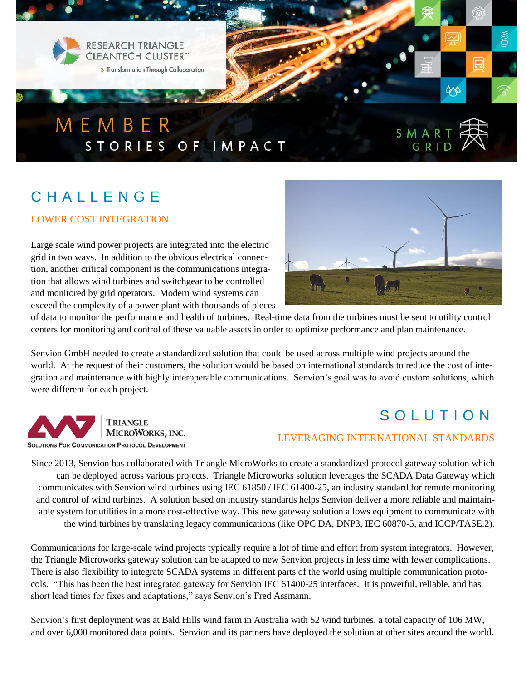

# C H A L L E N G E

#### LOWER COST INTEGRATION

Large scale wind power projects are integrated into the electric grid in two ways. In addition to the obvious electrical connection, another critical component is the communications integration that allows wind turbines and switchgear to be controlled and monitored by grid operators. Modern wind systems can exceed the complexity of a power plant with thousands of pieces



of data to monitor the performance and health of turbines. Real-time data from the turbines must be sent to utility control centers for monitoring and control of these valuable assets in order to optimize performance and plan maintenance.

Senvion GmbH needed to create a standardized solution that could be used across multiple wind projects around the world. At the request of their customers, the solution would be based on international standards to reduce the cost of integration and maintenance with highly interoperable communications. Senvion's goal was to avoid custom solutions, which were different for each project.



## SOLUTION

#### LEVERAGING INTERNATIONAL STANDARDS

Since 2013, Senvion has collaborated with Triangle MicroWorks to create a standardized protocol gateway solution which can be deployed across various projects. Triangle Microworks solution leverages the SCADA Data Gateway which communicates with Senvion wind turbines using IEC 61850 / IEC 61400-25, an industry standard for remote monitoring and control of wind turbines. A solution based on industry standards helps Senvion deliver a more reliable and maintainable system for utilities in a more cost-effective way. This new gateway solution allows equipment to communicate with the wind turbines by translating legacy communications (like OPC DA, DNP3, IEC 60870-5, and ICCP/TASE.2).

Communications for large-scale wind projects typically require a lot of time and effort from system integrators. However, the Triangle Microworks gateway solution can be adapted to new Senvion projects in less time with fewer complications. There is also flexibility to integrate SCADA systems in different parts of the world using multiple communication protocols. "This has been the best integrated gateway for Senvion IEC 61400-25 interfaces. It is powerful, reliable, and has short lead times for fixes and adaptations," says Senvion's Fred Assmann.

Senvion's first deployment was at Bald Hills wind farm in Australia with 52 wind turbines, a total capacity of 106 MW, and over 6,000 monitored data points. Senvion and its partners have deployed the solution at other sites around the world.